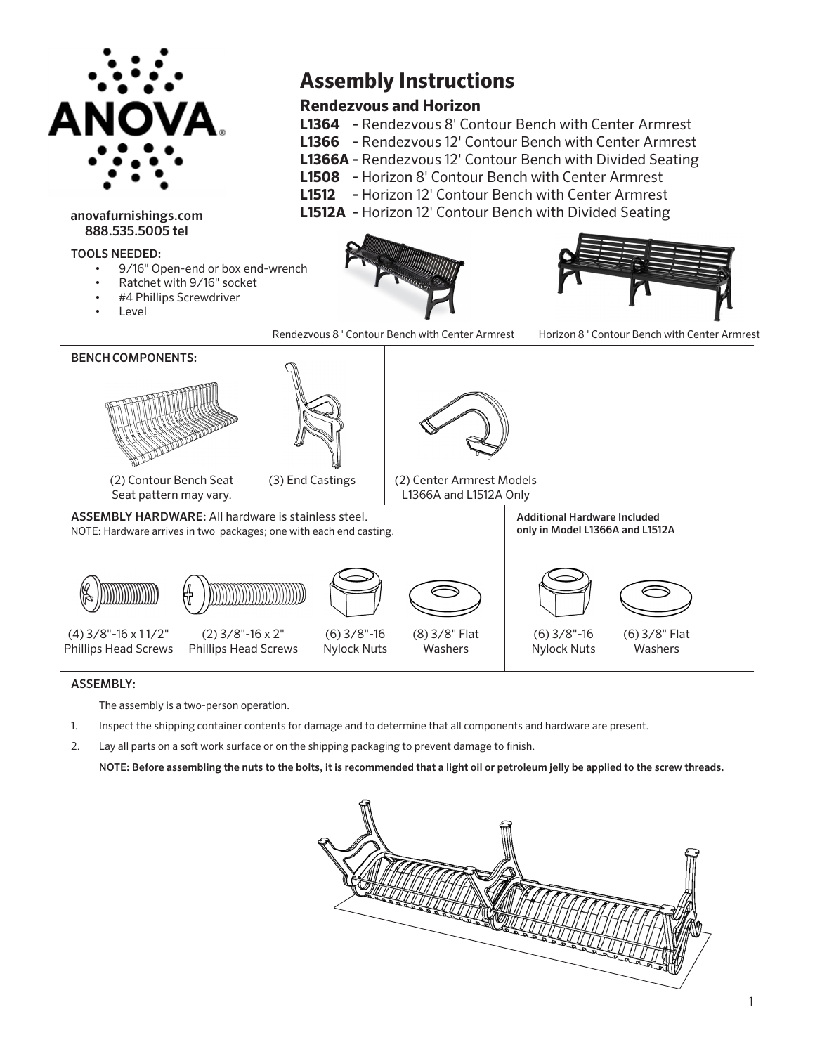

## anovafurnishings.com 888.535.5005 tel

## TOOLS NEEDED:

- 9/16" Open-end or box end-wrench
- Ratchet with 9/16" socket
- #4 Phillips Screwdriver
- **Level**



**Assembly Instructions**

**L1364 -** Rendezvous 8' Contour Bench with Center Armrest **L1366 -** Rendezvous 12' Contour Bench with Center Armrest **L1366A -** Rendezvous 12' Contour Bench with Divided Seating **L1508 -** Horizon 8' Contour Bench with Center Armrest **L1512 -** Horizon 12' Contour Bench with Center Armrest **L1512A -** Horizon 12' Contour Bench with Divided Seating

**Rendezvous and Horizon**





## ASSEMBLY:

The assembly is a two-person operation.

- 1. Inspect the shipping container contents for damage and to determine that all components and hardware are present.
- 2. Lay all parts on a soft work surface or on the shipping packaging to prevent damage to finish.

NOTE: Before assembling the nuts to the bolts, it is recommended that a light oil or petroleum jelly be applied to the screw threads.

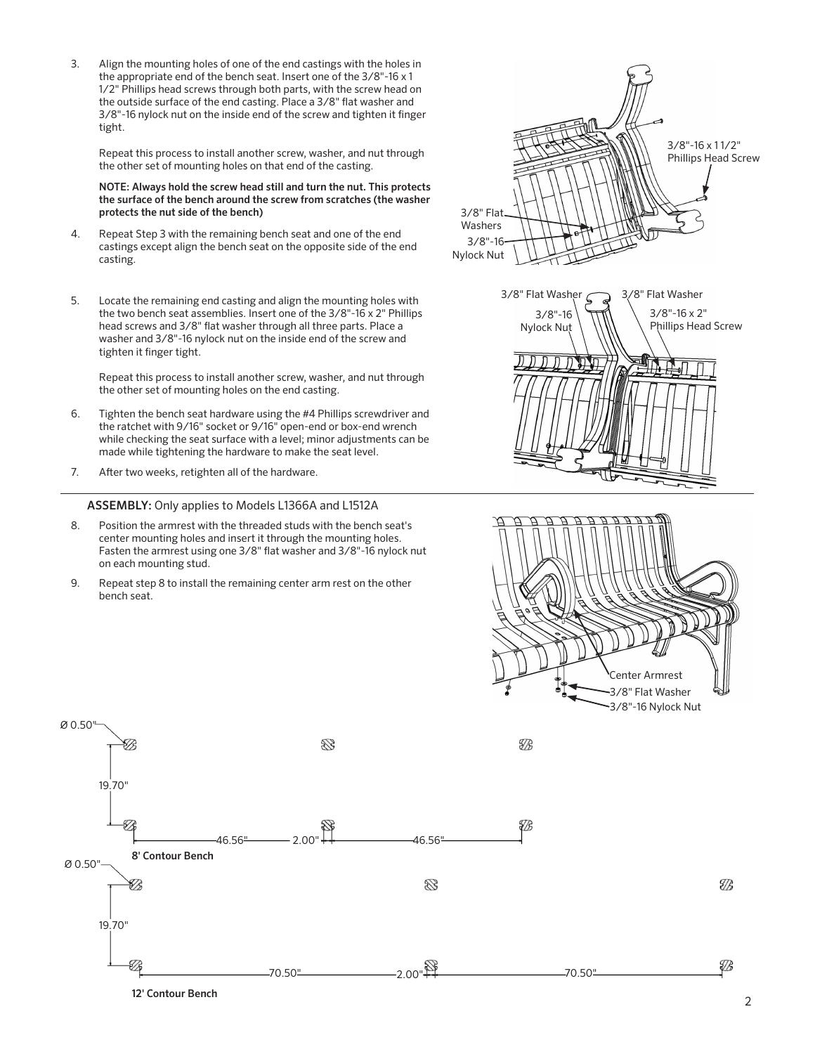Align the mounting holes of one of the end castings with the holes in the appropriate end of the bench seat. Insert one of the 3/8"-16 x 1 1/2" Phillips head screws through both parts, with the screw head on the outside surface of the end casting. Place a 3/8" flat washer and 3/8"-16 nylock nut on the inside end of the screw and tighten it finger tight. 3.

Repeat this process to install another screw, washer, and nut through the other set of mounting holes on that end of the casting.

NOTE: Always hold the screw head still and turn the nut. This protects the surface of the bench around the screw from scratches (the washer protects the nut side of the bench)

- Repeat Step 3 with the remaining bench seat and one of the end castings except align the bench seat on the opposite side of the end casting. 4.
- Locate the remaining end casting and align the mounting holes with the two bench seat assemblies. Insert one of the 3/8"-16 x 2" Phillips head screws and 3/8" flat washer through all three parts. Place a washer and 3/8"-16 nylock nut on the inside end of the screw and tighten it finger tight. 5.

Repeat this process to install another screw, washer, and nut through the other set of mounting holes on the end casting.

- Tighten the bench seat hardware using the #4 Phillips screwdriver and the ratchet with 9/16" socket or 9/16" open-end or box-end wrench while checking the seat surface with a level; minor adjustments can be made while tightening the hardware to make the seat level. 6.
- 7. After two weeks, retighten all of the hardware.

ASSEMBLY: Only applies to Models L1366A and L1512A

- Position the armrest with the threaded studs with the bench seat's center mounting holes and insert it through the mounting holes. Fasten the armrest using one 3/8" flat washer and 3/8"-16 nylock nut on each mounting stud. 8.
- Repeat step 8 to install the remaining center arm rest on the other bench seat. 9.